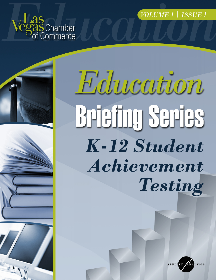VOLUME 1 | ISSUE 1





Education **Briefing Series** K-12 Student Achievement Testing

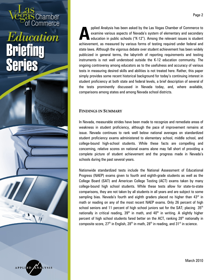Chamber Commerce

**APPLIED** 

pplied Analysis has been asked by the Las Vegas Chamber of Commerce to examine various aspects of Nevada's system of elementary and secondary education in public schools ("K-12"). Among the relevant issues is student achievement, as measured by various forms of testing required under federal and state laws. Although the vigorous debate over student achievement has been widely publicized in general terms, the labyrinth of reporting requirements and testing instruments is not well understood outside the K-12 education community. The ongoing controversy among educators as to the usefulness and accuracy of various tests in measuring desired skills and abilities is not treated here. Rather, this paper simply provides some recent historical background for today's continuing interest in student proficiency at both state and federal levels, a brief description of several of the tests prominently discussed in Nevada today, and, where available, comparisons among states and among Nevada school districts. **A**

### **FINDINGS IN SUMMARY**

In Nevada, measurable strides have been made to recognize and remediate areas of weakness in student proficiency, although the pace of improvement remains at issue. Nevada continues to rank well below national averages on standardized student proficiency exams administered to elementary school, middle school, and college-bound high-school students. While these facts are compelling and concerning, relative scores on national exams alone may fall short of providing a complete picture of student achievement and the progress made in Nevada's schools during the past several years.

Nationwide standardized tests include the National Assessment of Educational Progress (NAEP) exams given to fourth and eighth-grade students as well as the College Board (SAT) and American College Testing (ACT) exams taken by many college-bound high school students. While these tests allow for state-to-state comparisons, they are not taken by all students in all years and are subject to some sampling bias. Nevada's fourth and eighth graders placed no higher than 43rd in math or reading on any of the most recent NAEP exams. Only 26 percent of high school seniors and 11 percent of high school juniors sat for the SAT; placing  $35<sup>th</sup>$ nationally in critical reading,  $39<sup>th</sup>$  in math, and  $40<sup>th</sup>$  in writing. A slightly higher percent of high school students fared better on the ACT, ranking 28<sup>th</sup> nationally in composite score,  $27<sup>th</sup>$  in English,  $28<sup>th</sup>$  in math,  $28<sup>th</sup>$  in reading, and  $31<sup>st</sup>$  in science.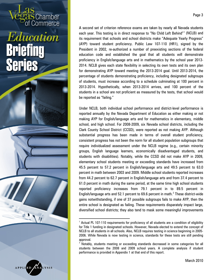Chamber commerce

<span id="page-2-1"></span><span id="page-2-0"></span>APPLIED

A second set of criterion reference exams are taken by nearly all Nevada students each year. This testing is in direct response to "No Child Left Behind"[1](#page-2-0) (NCLB) and its requirement that schools and school districts make "Adequate Yearly Progress" (AYP) toward student proficiency. Public Law 107-110 (HR1), signed by the President in 2002, re-authorized a number of preexisting sections of the federal education code and established the goal that all students will demonstrate proficiency in English/language arts and in mathematics by the school year 2013- 2014. NCLB gives each state flexibility in selecting its own tests and its own plan for demonstrating AYP toward meeting the 2013-2014 goal. Until 2013-2014, the percentage of students demonstrating proficiency, including designated subgroups of students, must increase according to a schedule culminating at 100 percent in 2013-2014. Hypothetically, when 2013-2014 arrives, and 100 percent of the students in a school are not proficient as measured by the tests, that school would

Under NCLB, both individual school performance and district-level performance is reported annually by the Nevada Department of Education as either making or not making AYP for English/language arts and for mathematics in elementary, middle school, and high school. For 2008-2009, six Nevada school districts, including the Clark County School District (CCSD), were reported as not making AYP. Although substantial progress has been made in terms of overall student proficiency, consistent progress has not been the norm for all student population subgroups that require individualized assessment under the NCLB regime (e.g., certain minority groups, English language learners, economically disadvantaged students, and students with disabilities). Notably, while the CCSD did not make AYP in 2009, elementary school students meeting or exceeding standards have increased from 45.5 percent to 57.2 percent in English/language arts and 49.5 percent to 63.0 percent in math between 2003 and 2009. Middle school students reported increases from 44.2 percent to 62.7 percent in English/language arts and from 37.4 percent to 61.0 percent in math during the same period, at the same time high school students reported proficiency increases from 79.1 percent in to 89.5 percent in English/language arts and 5[2](#page-2-1).1 percent to 69.6 percent in math.<sup>2</sup> These district-wide gains notwithstanding, if one of 37 possible subgroups fails to make AYP, then the entire school is designated as failing. These requirements disparately impact large, diversified school districts; they also tend to mask some meaningful improvements

be reported as "failing."

 $\overline{a}$ 

<sup>1</sup> Actual PL 107-110 requirements for proficiency of all students are a condition of eligibility for Title 1 funding in designated schools. However, Nevada elected to extend the concept of NCLB to all students in all schools. Also, NCLB requires testing in science beginning in 2005- 2006. While Nevada is now testing in science, standards for these tests are still pending approval.

<sup>&</sup>lt;sup>2</sup> Notably, students meeting or exceeding standards decreased in some categories for all students between the 2008 and 2009 school years. A complete analysis if student performance is provided in Appendix 1 at that end of this report.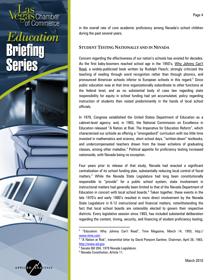Chamber commerce

<span id="page-3-3"></span><span id="page-3-2"></span><span id="page-3-1"></span><span id="page-3-0"></span>

in the overall rate of core academic proficiency among Nevada's school children during the past several years.

#### **STUDENT TESTING NATIONALLY AND IN NEVADA**

Concern regarding the effectiveness of our nation's schools has existed for decades. As the first baby-boomers reached school age in the 1950's, Why Johnny Can't Read, a widely-publicized book written by Rudolph Flesch; strongly criticized the teaching of reading through word recognition rather than through phonics, and pronounced American schools inferior to European schools in this regard. [3](#page-3-0) Since public education was at that time organizationally subordinate to other functions at the federal level, and as no substantial body of case law regarding state responsibility for equity in school funding had yet accumulated, policy regarding instruction of students then rested predominantly in the hands of local school officials.

In 1979, Congress established the United States Department of Education as a cabinet-level agency; and, in 1983, the National Commission on Excellence in Education released "A Nation at Risk: The Imperative for Education Reform", which characterized our schools as offering a "smorgasbord" curriculum with too little time invested in mathematics and science, short school days, "written-down" textbooks, and undercompensated teachers drawn from the lower echelons of graduating classes, among other maladies.<sup>[4](#page-3-1)</sup> Political appetite for proficiency testing increased nationwide, with Nevada being no exception.

Four years prior to release of that study, Nevada had enacted a significant centralization of its school funding plan, substantially reducing local control of fiscal matters. [5](#page-3-2) While the Nevada State Legislature had long been constitutionally responsible to "provide" for a public school system, state involvement in instructional matters had generally been limited to that of the Nevada Department of Education in concert with local school boards.<sup>[6](#page-3-3)</sup> Taken together, these events in the late 1970's and early 1980's resulted in more direct involvement by the Nevada State Legislature in K-12 instructional and financial matters, notwithstanding the fact that local school boards are ostensibly elected to govern their respective districts. Every legislative session since 1983, has included substantial deliberation regarding the content, timing, security, and financing of student proficiency testing;

l

<sup>3</sup> "Education: Why Johnny Can't Read", Time Magazine, March 14, 1955, http:// <u>www.time.com</u>.<br><sup>4</sup> "A Nation at Risk", transmittal letter by David Pierpont Gardner, Chairman, April 26, 1983,

http://www.ed.gov.<br><sup>5</sup> Senate Bill 204, 1979 Nevada Legislature.

<sup>&</sup>lt;sup>6</sup> Nevada Constitution, Article 11.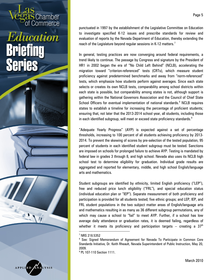### Commerce Education eries

Chamber

<span id="page-4-2"></span><span id="page-4-1"></span><span id="page-4-0"></span>APPLIED

punctuated in 1997 by the establishment of the Legislative Committee on Education to investigate specified K-12 issues and prescribe standards for review and evaluation of reports by the Nevada Department of Education, thereby extending the reach of the Legislature beyond regular sessions in K-12 matters. $^7$  $^7$ 

In general, testing practices are now converging around federal requirements, a trend likely to continue. The passage by Congress and signature by the President of HR1 in 2002 began the era of "No Child Left Behind" (NCLB), accelerating the migration toward "criterion-referenced" tests (CRTs), which measure student proficiency against predetermined benchmarks and away from "norm-referenced" tests, which emphasize how students perform against averages. Since each state selects or creates its own NCLB tests, comparability among school districts within each state is possible, but comparability among states is not, although support is gathering within the National Governors Association and the Council of Chief State School Officers for eventual implementation of national standards.<sup>[8](#page-4-1)</sup> NCLB requires states to establish a timeline for increasing the percentage of proficient students; ensuring that, not later that the 2013-2014 school year, all students, including those in each identified subgroup, will meet or exceed state proficiency standards.<sup>[9](#page-4-2)</sup>

"Adequate Yearly Progress" (AYP) is expected against a set of percentage thresholds, increasing to 100 percent of all students achieving proficiency by 2013- 2014. To prevent the skewing of scores by pre-selection of the tested population, 95 percent of students in each identified student subgroup must be tested. Sanctions are imposed on schools for prolonged failure to achieve AYP. Testing is mandated by federal law in grades 3 through 8, and high school. Nevada also uses its NCLB high school test to determine eligibility for graduation. Individual grade results are aggregated and reported for elementary, middle, and high school English/language arts and mathematics.

Student subgroups are identified by ethnicity, limited English proficiency ("LEP"), free and reduced price lunch eligibility ("FRL"), and special education status (individual education plan or "IEP"). Separate measurement of both proficiency and participation is provided for all students tested; five ethnic groups; and LEP, IEP, and FRL student populations in the two subject matter areas of English/language arts and mathematics resulting in as many as 36 different subgroup permutations, any of which may cause a school to "fail" to meet AYP. Further, if a school has low average daily attendance or graduation rates, it is deemed failing, regardless of whether it meets its proficiency and participation targets – creating a  $37<sup>th</sup>$ 

l

<sup>7</sup> NRS 218.5352

<sup>&</sup>lt;sup>8</sup> See: Signed Memorandum of Agreement for Nevada To Participate in Common Core Standards Initiative, Dr. Keith Rheault, Nevada Superintendent of Public Instruction, May 20, 2009.

<sup>9</sup> PL 107-110 Section 1111.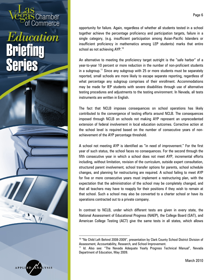Chamber

<span id="page-5-1"></span><span id="page-5-0"></span>

l

opportunity for failure. Again, regardless of whether all students tested in a school together achieve the percentage proficiency and participation targets, failure in a single category, (e.g. insufficient participation among Asian-Pacific Islanders or insufficient proficiency in mathematics among LEP students) marks that entire school as not achieving AYP. $^{\rm 10}$  $^{\rm 10}$  $^{\rm 10}$ 

An alternative to meeting the proficiency target outright is the "safe harbor" of a year-to-year 10 percent or more reduction in the number of non-proficient students in a subgroup.<sup>[11](#page-5-1)</sup> Since any subgroup with 25 or more students must be separately reported, small schools are more likely to escape separate reporting, regardless of what percentage any subgroup comprises of their enrollment. Accommodations may be made for IEP students with severe disabilities through use of alternative testing procedures and adjustments to the testing environment. In Nevada, all tests instruments are written in English.

The fact that NCLB imposes consequences on school operations has likely contributed to the convergence of testing efforts around NCLB. The consequences imposed through NCLB on schools not making AYP represent an unprecedented extension of federal involvement in local education outcomes. Corrective action at the school level is required based on the number of consecutive years of nonachievement of the AYP percentage threshold.

A school not meeting AYP is identified as "in need of improvement." For the first year of such status, the school faces no consequences. For the second through the fifth consecutive year in which a school does not meet AYP, incremental efforts including, without limitation, revision of the curriculum, outside expert consultation, structured parent involvement, school transfer options for parents, school schedule changes, and planning for restructuring are required. A school failing to meet AYP for five or more consecutive years must implement a restructuring plan, with the expectation that the administration of the school may be completely changed, and that all teachers may have to reapply for their positions if they wish to remain at that school. Such a school may also be converted to a charter school or have its operations contracted out to a private company.

In contrast to NCLB, under which different tests are given in every state, the National Assessment of Educational Progress (NAEP), the College Board (SAT), and American College Testing (ACT) give the same tests in all states, which allows

<sup>&</sup>lt;sup>10</sup> "No Child Left Behind 2008-2009", presentation by Clark County School District Division of Assessment, Accountability, Research, and School Improvement.

<sup>&</sup>lt;sup>11</sup> Id. Also see: "The Nevada Adequate Yearly Progress Technical Manual", Nevada Department of Education, May 2009.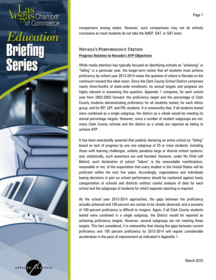Chamber Commerce

comparisons among states. However, such comparisons may not be entirely conclusive as most students do not take the NAEP, SAT, or SAT tests.

### **NEVADA'S PERFORMANCE TRENDS Progress Relative to Nevada's AYP Objectives**

While media attention has typically focused on identifying schools as "achieving" or "failing" in a particular year, the longer-term notion that *all* students must achieve proficiency by school year 2013-2014 raises the question of where is Nevada on the continuum toward this ideal vision. Since the Clark County School District comprises nearly three-fourths of state-wide enrollment, its annual targets and progress are highly relevant in answering this question. Appendix 1 compares, for each school year from 2002-2003 forward, the proficiency target and the percentage of Clark County students demonstrating proficiency for all students tested, for each ethnic group, and for IEP, LEP, and FRL students. It is noteworthy that, if all students tested were combined as a single subgroup, the district as a whole would be meeting its annual percentage targets. However, since a number of student subgroups are not, many Clark County schools and the district as a whole are reported as failing to achieve AYP.

It has been anecdotally asserted that publicly declaring an entire school as "failing" based on lack of progress by any one subgroup of 25 or more students, including those with learning challenges, unfairly penalizes large or diverse school systems; and, statistically, such assertions are well founded. However, under No Child Left Behind, such declaration of school "failure" is the unavoidable manifestation, reasonable or not, of the expectation that every student in the United States will be proficient within the next five years. Accordingly, organizations and individuals basing decisions in part on school performance should be cautioned against hasty categorization of schools and districts without careful analysis of data for each school and the subgroups of students for which separate reporting is required.

As the school year 2013-2014 approaches, the gaps between the proficiency actually achieved and 100 percent are certain to be closely observed, and a scenario of 100 percent proficiency is difficult to imagine. Again, if all Clark County students tested were combined in a single subgroup, the District would be reported as achieving proficiency targets. However, several subgroups are not meeting these targets. This fact considered, it is noteworthy that closing the gaps between current proficiency and 100 percent proficiency by 2013-2014 will require considerable acceleration in the pace of improvement as indicated in Appendix 1.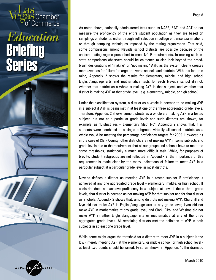

As noted above, nationally-administered tests such as NAEP, SAT, and ACT do not measure the proficiency of the entire student population as they are based on samplings of students, either through self-selection in college entrance examinations or through sampling techniques imposed by the testing organization. That said, some comparisons among Nevada school districts are possible because of the uniform testing regime prescribed to meet NCLB requirements. In making such instate comparisons observers should be cautioned to also look beyond the broadbrush designations of "making" or "not making" AYP, as the system clearly creates more avenues for failure for large or diverse schools and districts. With this factor in mind, Appendix 2 shows the results for elementary, middle, and high school English/language arts and mathematics tests for each Nevada school district, whether that district as a whole is making AYP in that subject, and whether that district is making AYP at that grade level (e.g. elementary, middle, or high school).

Schamber<br>Commerce

Education

ATI

Series

**APPLIED** 

Under the classification system, a district as a whole is deemed to be making AYP in a subject if AYP is being met in at least one of the three aggregated grade levels. Therefore, Appendix 2 shows some districts as a whole are making AYP in a tested subject, but not at a particular grade level: and such districts are shown, for example, as "District Yes – Elementary Math No". Appendix 2 shows that, if all students were combined in a single subgroup, virtually all school districts as a whole would be meeting the percentage proficiency targets for 2009. However, as in the case of Clark County, other districts are not making AYP in some subjects and grade levels due to the requirement that all subgroups and schools have to meet the same thresholds, statistically a much more difficult task. While, for purposes of brevity, student subgroups are not reflected in Appendix 2, the importance of this requirement is made clear by the many indications of failure to meet AYP in a particular subject at a particular grade level in most districts.

Nevada defines a district as meeting AYP in a tested subject if proficiency is achieved at any one aggregated grade level – elementary, middle, or high school. If a district does not achieve proficiency in a subject at any of these three grade levels, that district is deemed as not making AYP for that subject and for that district as a whole. Appendix 2 shows that, among districts not making AYP, Churchill and Nye did not make AYP in English/language arts at any grade level; Lyon did not make AYP in mathematics at any grade level; and Clark, Elko, and Washoe did not make AYP in either English/language arts or mathematics at any of the three aggregated grade levels. All remaining districts met the definition of AYP in both subjects in at least one grade level.

While some might argue the threshold for a district to meet AYP in a subject is too low - merely meeting AYP at the elementary, or middle school, or high school level at least two points should be raised. First, as shown in Appendix 1, the dramatic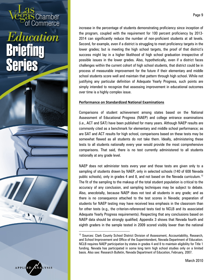Chamber

<span id="page-8-0"></span>

l

Page 9

increase in the percentage of students demonstrating proficiency since inception of the program, coupled with the requirement for 100 percent proficiency by 2013- 2014 can significantly reduce the number of non-proficient students at all levels. Second, for example, even if a district is struggling to meet proficiency targets in the lower grades; but is meeting the high school targets, the proof of that district's success might lay in a higher likelihood of high school graduation irrespective of possible issues in the lower grades. Also, hypothetically, even if a district faces challenges within the current cohort of high school students, that district could be in process of measurable improvement for the future if their elementary and middle school students score well and maintain that pattern through high school. While not justifying any particular definition of Adequate Yearly Progress, such points are simply intended to recognize that assessing improvement in educational outcomes over time is a highly complex issue.

#### **Performance on Standardized National Examinations**

Comparisons of student achievement among states based on the National Assessment of Educational Progress (NAEP) and college entrance examinations (i.e., ACT and SAT) have been published for many years. Although NAEP results are commonly cited as a benchmark for elementary and middle school performance; as are SAT and ACT results for high school, comparisons based on these tests may be somewhat flawed as all students do not take them. Ideally, administering these tests to all students nationally every year would provide the most comprehensive comparisons. That said, there is no test currently administered to all students nationally at any grade level.

NAEP does not administer tests every year and those tests are given only to a sampling of students drawn by NAEP, only in selected schools (140 of 608 Nevada public schools), only in grades 4 and 8, and not based on the Nevada curriculum.<sup>[12](#page-8-0)</sup> The fit of the sampling to the makeup of the total student population is critical to the accuracy of any conclusion, and sampling techniques may be subject to debate. Also, anecdotally, because NAEP does not test all students in any grade; and as there is no consequence attached to the test scores in Nevada; preparation of students for NAEP testing may have received less emphasis in the classroom than for other tests (e.g., the criterion-referenced tests tied to NCLB and its associated Adequate Yearly Progress requirements). Respecting that any conclusions based on NAEP data should be strongly qualified; Appendix 3 shows that Nevada fourth and eighth graders in the sample tested in 2009 scored visibly lower than the national

<sup>&</sup>lt;sup>12</sup> Sources: Clark County School District Division of Assessment, Accountability, Research, and School Improvement and Office of the Superintendent, Nevada Department of Education. NCLB requires NAEP participation by states in grades 4 and 8 to maintain eligibility for Title 1 funding. Nevada has participated in some long term high school studies only on a limited basis. Also see: Research Bulletin, Nevada Department of Education, February, 2007.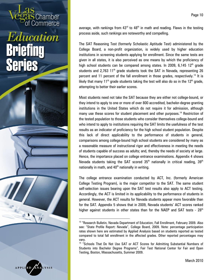# Education AMA

Chamber

<span id="page-9-1"></span><span id="page-9-0"></span>

l

Page 10

average, with rankings from  $43<sup>rd</sup>$  to  $48<sup>th</sup>$  in math and reading. Flaws in the testing process aside, such rankings are noteworthy and compelling.

The SAT Reasoning Test (formerly Scholastic Aptitude Test) administered by the College Board, a non-profit organization, is widely used by higher education institutions in screening students applying for enrollment. Since the same tests are given in all states, it is also perceived as one means by which the proficiency of high school students can be compared among states. In 2009, 6,145 12<sup>th</sup> grade students and 2.763 11<sup>th</sup> grade students took the SAT in Nevada, representing 26 percent and 11 percent of the fall enrollment in those grades, respectively.<sup>[13](#page-9-0)</sup> It is likely that many 11<sup>th</sup> grade students taking the test will also do so in the 12<sup>th</sup> grade, attempting to better their earlier scores.

Most students need not take the SAT because they are either not college-bound, or they intend to apply to one or more of over 800 accredited, bachelor-degree granting institutions in the United States which do not require it for admission, although many use these scores for student placement and other purposes.<sup>[14](#page-9-1)</sup> Restriction of the tested population to those students who consider themselves college-bound and who intend to apply to institutions requiring the SAT limits the usefulness of the test results as an indicator of proficiency for the high school student population. Despite this lack of direct applicability to the performance of students in general, comparisons among college-bound high school students are considered by many as a reasonable measure of instructional rigor and effectiveness in meeting the needs of students capable of success as adults; and, thereby the needs of society at large. Hence, the importance placed on college entrance examinations. Appendix 4 shows Nevada students taking the SAT scored  $35<sup>th</sup>$  nationally in critical reading,  $39<sup>th</sup>$ nationally in math, and  $40<sup>th</sup>$  nationally in writing.

The college entrance examination conducted by ACT, Inc. (formerly American College Testing Program), is the major competitor to the SAT. The same student self-selection issues bearing upon the SAT test results also apply to ACT testing. Accordingly, the ACT is limited in its applicability to the performance of students in general. However, the ACT results for Nevada students appear more favorable than for the SAT. Appendix 5 shows that in 2009, Nevada students' ACT scores ranked higher against students in other states than for the NAEP and SAT tests -  $28<sup>th</sup>$ 

<sup>&</sup>lt;sup>13</sup> "Research Bulletin, Nevada Department of Education, Fall Enrollment, February 2009. Also see: "State Profile Report: Nevada", College Board, 2009. Note: percentage participation rates shown here are estimated by Applied Analysis based on students reported as tested compared to total fall enrollment in the affected grades. Other reported percentages may

vary.<br><sup>14</sup> "Schools That Do Not Use SAT or ACT Scores for Admitting Substantial Numbers of Students into Bachelor Degree Programs", Fair Test National Center for Fair and Open Testing, Boston, Massachusetts, Summer 2009.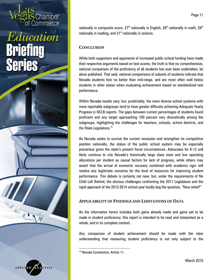Chamber

<span id="page-10-0"></span>

nationally in composite score,  $27<sup>th</sup>$  nationally in English,  $28<sup>th</sup>$  nationally in math,  $28<sup>th</sup>$ nationally in reading, and  $31<sup>st</sup>$  nationally in science.

### **CONCLUSION**

While both supporters and opponents of increased public school funding have made their respective arguments based on test scores, the truth is that no comprehensive, national comparison of the proficiency of all students has ever been undertaken, let alone published. That said, national comparisons of subsets of students indicate that Nevada students fare no better than mid-range, and are most often well below students in other states when evaluating achievement based on standardized test performance.

Within Nevada results vary; but, predictably, the more diverse school systems with more reportable subgroups tend to have greater difficulty achieving Adequate Yearly Progress in NCLB reports. The gaps between current percentages of students found proficient and any target approaching 100 percent vary dramatically among the subgroups, highlighting the challenges for teachers, schools, school districts, and the State Legislature.<sup>[15](#page-10-0)</sup>

As Nevada seeks to survive the current recession and strengthen its competitive position nationally, the status of the public school system may be especially precarious given the state's present fiscal circumstances. Advocates for K-12 will likely continue to cite Nevada's historically large class sizes and low operating allocations per student as causal factors for lack of progress, while others may assert that the arrival of economic recovery combined with academic rigor will resolve any legitimate concerns for the level of resources for improving student performance. This debate is certainly not new; but, under the requirements of No Child Left Behind, the obvious challenges confronting the 2011 Legislature and the rapid approach of the 2013-2014 school year loudly beg the question, "Now what?"

### **APPLICABILITY OF FINDINGS AND LIMITATIONS OF DATA**

As the information herein includes both gains already made and gains yet to be made in student proficiency; this report is intended to be read and interpreted as a whole, and in its complete context.

Any comparison of student achievement should be made with the clear understanding that measuring student proficiency is not only subject to the

<sup>&</sup>lt;sup>15</sup> Nevada Constitution, Article 11.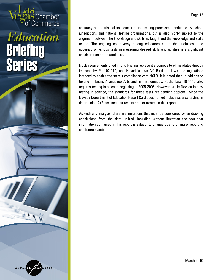

accuracy and statistical soundness of the testing processes conducted by school jurisdictions and national testing organizations, but is also highly subject to the alignment between the knowledge and skills as taught and the knowledge and skills tested. The ongoing controversy among educators as to the usefulness and accuracy of various tests in measuring desired skills and abilities is a significant consideration not treated here.

Chamber Commerce

Education

**AT** 

Series

**APPLIED** 

NCLB requirements cited in this briefing represent a composite of mandates directly imposed by PL 107-110, and Nevada's own NCLB-related laws and regulations intended to enable the state's compliance with NCLB. It is noted that, in addition to testing in English/ language Arts and in mathematics, Public Law 107-110 also requires testing in science beginning in 2005-2006. However, while Nevada is now testing in science, the standards for these tests are pending approval. Since the Nevada Department of Education Report Card does not yet include science testing in determining AYP, science test results are not treated in this report.

As with any analysis, there are limitations that must be considered when drawing conclusions from the data utilized, including without limitation the fact that information contained in this report is subject to change due to timing of reporting and future events.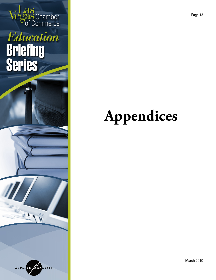

### **Appendices**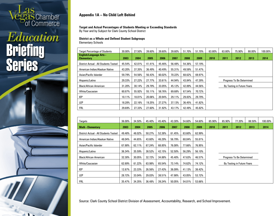

### Education **Briefing<br>Series**



### **Appendix 1A – No Child Left Behind**

#### **Target and Actual Percentages of Students Meeting or Exceeding Standards**

By Year and by Subject for Clark County School District

### **District as a Whole and Defined Student Subgroups**

Elementary Schools

| <b>Target Percentage of Students</b>                | 30.00% | 27.50% | 39.60% | 39.60% | 39.60% | 51.70% | 51.70% | 63.80% | 63.80% | 75.90%                     | 88.00% | 100.00% |
|-----------------------------------------------------|--------|--------|--------|--------|--------|--------|--------|--------|--------|----------------------------|--------|---------|
| <b>English/Language Arts -</b><br><b>Elementary</b> | 2003   | 2004   | 2005   | 2006   | 2007   | 2008   | 2009   | 2010   | 2011   | 2012                       | 2013   | 2014    |
| District Actual - All Students Tested               | 45.54% | 42.01% | 41.41% | 45.46% | 56.48% | 54.36% | 57.19% |        |        |                            |        |         |
| American Indian/Alaskan Native                      | 43.20% | 37.35% | 36.49% | 40.49% | 55.31% | 49.59% | 51.47% |        |        |                            |        |         |
| Asian/Pacific Islander                              | 59.79% | 54.56% | 56.43% | 60.02% | 70.22% | 68.62% | 69.97% |        |        |                            |        |         |
| Hispanic/Latino                                     | 29.33% | 27.22% | 27.77% | 33.61% | 44.94% | 43.84% | 47.39% |        |        | Progress To Be Determined  |        |         |
| <b>Black/African American</b>                       | 31.20% | 30.14% | 29.79% | 33.05% | 45.12% | 42.89% | 44.56% |        |        | By Testing in Future Years |        |         |
| White/Caucasian                                     | 60.87% | 55.92% | 55.11% | 58.76% | 69.68% | 67.54% | 70.72% |        |        |                            |        |         |
| <b>IEP</b>                                          | 10.11% | 18.01% | 20.06% | 20.94% | 29.11% | 29.83% | 29.79% |        |        |                            |        |         |
| <b>LEP</b>                                          | 18.28% | 22.16% | 19.25% | 27.27% | 37.13% | 36.45% | 41.82% |        |        |                            |        |         |
| FRL                                                 | 29.69% | 27.33% | 27.60% | 31.92% | 43.17% | 42.49% | 45.82% |        |        |                            |        |         |

| Targets                               | 36.00% | 34.50% | 45.40% | 45.40% | 43.30% | 54.60% | 54.60% | 65.90% | 65.90% | 77.20%                     | 88.50% | 100.00% |
|---------------------------------------|--------|--------|--------|--------|--------|--------|--------|--------|--------|----------------------------|--------|---------|
| <b>Math - Elementary</b>              | 2003   | 2004   | 2005   | 2006   | 2007   | 2008   | 2009   | 2010   | 2011   | 2012                       | 2013   | 2014    |
| District Actual - All Students Tested | 49.48% | 48.02% | 50.27% | 52.38% | 61.45% | 63.60% | 62.99% |        |        |                            |        |         |
| American Indian/Alaskan Native        | 48.04% | 44.65% | 43.60% | 46.29% | 56.79% | 60.04% | 55.81% |        |        |                            |        |         |
| Asian/Pacific Islander                | 67.88% | 62.11% | 67.24% | 68.85% | 76.08% | 77.66% | 76.95% |        |        |                            |        |         |
| Hispanic/Latino                       | 36.34% | 35.59% | 38.52% | 42.15% | 52.50% | 56.29% | 56.10% |        |        |                            |        |         |
| <b>Black/African American</b>         | 32.30% | 30.05% | 32.72% | 34.88% | 45.40% | 47.63% | 46.57% |        |        | Progress To Be Determined  |        |         |
| White/Caucasian                       | 62.69% | 61.22% | 63.98% | 65.54% | 73.14% | 74.62% | 74.12% |        |        | By Testing in Future Years |        |         |
| <b>IEP</b>                            | 12.67% | 23.33% | 26.56% | 27.43% | 36.09% | 41.13% | 38.42% |        |        |                            |        |         |
| LEP                                   | 28.72% | 33.04% | 29.03% | 38.51% | 47.98% | 43.05% | 53.72% |        |        |                            |        |         |
| <b>FRL</b>                            | 35.47% | 34.35% | 36.48% | 39.24% | 50.05% | 54.01% | 53.66% |        |        |                            |        |         |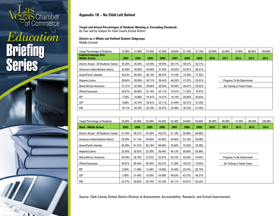

### Education **Briefing<br>Series**



### **Appendix 1B – No Child Left Behind**

#### **Target and Actual Percentages of Students Meeting or Exceeding Standards**

By Year and by Subject for Clark County School District

#### **District as a Whole and Defined Student Subgroups** Middle Schools

| <b>Target Percentage of Students</b>                  | 37.00% | 37.00% | 47.50% | 47.50% | 39.60% | 51.70% | 51.70% | 63.80% | 63.80% | 75.90%                     | 88.00% | 100.00% |
|-------------------------------------------------------|--------|--------|--------|--------|--------|--------|--------|--------|--------|----------------------------|--------|---------|
| <b>English/Language Arts-</b><br><b>Middle School</b> | 2003   | 2004   | 2005   | 2006   | 2007   | 2008   | 2009   | 2010   | 2011   | 2012                       | 2013   | 2014    |
| District Actual - All Students Tested                 | 44.20% | 55.03% | 53.44% | 49.94% | 58.77% | 58.51% | 62.71% |        |        |                            |        |         |
| American Indian/Alaskan Native                        | 42.68% | 50.00% | 50.00% | 47.43% | 59.03% | 53.87% | 60.21% |        |        |                            |        |         |
| Asian/Pacific Islander                                | 59.23% | 66.83% | 68.13% | 66.67% | 74.16% | 74.92% | 77.33% |        |        |                            |        |         |
| Hispanic/Latino                                       | 28.84% | 39.56% | 38.71% | 36.44% | 46.22% | 47.07% | 52.41% |        |        | Progress To Be Determined  |        |         |
| <b>Black/African American</b>                         | 31.21% | 42.58% | 39.89% | 36.54% | 45.94% | 46.01% | 50.53% |        |        | By Testing in Future Years |        |         |
| White/Caucasian                                       | 55.67% | 68.06% | 67.16% | 64.17% | 72.07% | 71.82% | 74.97% |        |        |                            |        |         |
| <b>IEP</b>                                            | 7.55%  | 18.96% | 19.41% | 15.21% | 19.74% | 28.04% | 25.63% |        |        |                            |        |         |
| LEP                                                   | 8.68%  | 33.75% | 29.91% | 32.11% | 41.04% | 42.41% | 47.35% |        |        |                            |        |         |
| FRL                                                   | 19.11% | 39.79% | 38.19% | 35.47% | 44.98% | 46.23% | 51.48% |        |        |                            |        |         |

| <b>Target Percentage of Students</b>  | 32.00% | 32.00% | 43.30% | 43.30% | 43.30% | 54.60% | 54.60% | 65.90% | 65.90% | 77.20%                     | 88.50% | 100.00% |
|---------------------------------------|--------|--------|--------|--------|--------|--------|--------|--------|--------|----------------------------|--------|---------|
| <b>Math - Middle School</b>           | 2003   | 2004   | 2005   | 2006   | 2007   | 2008   | 2009   | 2010   | 2011   | 2012                       | 2013   | 2014    |
| District Actual - All Students Tested | 37.44% | 46.31% | 45.30% | 49.27% | 57.19% | 56.96% | 60.98% |        |        |                            |        |         |
| American Indian/Alaskan Native        | 29.59% | 41.14% | 44.00% | 45.40% | 49.46% | 52.16% | 59.08% |        |        |                            |        |         |
| Asian/Pacific Islander                | 56.58% | 61.57% | 63.18% | 69.58% | 76.60% | 75.93% | 78.39% |        |        |                            |        |         |
| Hispanic/Latino                       | 22.85% | 30.52% | 32.30% | 36.44% | 44.13% | 46.05% | 50.98% |        |        |                            |        |         |
| <b>Black/African American</b>         | 20.59% | 28.78% | 27.67% | 32.81% | 40.73% | 40.22% | 43.83% |        |        | Progress To Be Determined  |        |         |
| White/Caucasian                       | 49.91% | 60.44% | 58.45% | 63.27% | 71.20% | 70.61% | 74.03% |        |        | By Testing in Future Years |        |         |
| <b>IEP</b>                            | 3.59%  | 11.08% | 14.58% | 14.90% | 19.48% | 28.47% | 26.74% |        |        |                            |        |         |
| LEP                                   | 7.00%  | 27.48% | 15.85% | 34.09% | 40.63% | 43.27% | 48.21% |        |        |                            |        |         |
| <b>FRL</b>                            | 22.47% | 30.63% | 30.79% | 35.19% | 43.11% | 44.81% | 50.33% |        |        |                            |        |         |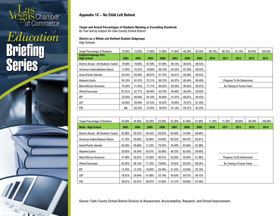# **as** Chamber<br>of Commerce

### Education **Briefing<br>Series**

 $\mathbf{1}$ 

-1119



### **Appendix 1C – No Child Left Behind**

#### **Target and Actual Percentages of Students Meeting or Exceeding Standards**

By Year and by Subject for Clark County School District

#### **District as a Whole and Defined Student Subgroups** High Schools

| <b>Target Percentage of Students</b>                | 73.50%  | 73.50% | 77.90% | 77.90% | 77.90% | 82.30% | 82.30% | 86.70% | 86.70% | 91.10%                     | 95.50% | 100.00% |
|-----------------------------------------------------|---------|--------|--------|--------|--------|--------|--------|--------|--------|----------------------------|--------|---------|
| <b>English/Language Arts-</b><br><b>High School</b> | 2003    | 2004   | 2005   | 2006   | 2007   | 2008   | 2009   | 2010   | 2011   | 2012                       | 2013   | 2014    |
| District Actual - All Students Tested               | 79.09%  | 79.66% | 81.59% | 87.60% | 90.15% | 90.83% | 89.52% |        |        |                            |        |         |
| American Indian/Alaskan Native                      | 77.65%  | 75.57% | 78.60% | 90.10% | 83.33% | 87.39% | 88.43% |        |        |                            |        |         |
| Asian/Pacific Islander                              | 84.23%  | 84.96% | 88.07% | 91.75% | 93.91% | 93.69% | 95.52% |        |        |                            |        |         |
| Hispanic/Latino                                     | 65.10%  | 67.47% | 72.11% | 80.72% | 84.37% | 85.44% | 84.40% |        |        | Progress To Be Determined  |        |         |
| <b>Black/African American</b>                       | 70.20%  | 71.55% | 71.71% | 80.22% | 84.26% | 85.65% | 85.01% |        |        | By Testing in Future Years |        |         |
| White/Caucasian                                     | 87.52.% | 87.71% | 88.48% | 92.70% | 94.80% | 95.63% | 93.93% |        |        |                            |        |         |
| <b>IEP</b>                                          | 32.55%  | 40.59% | 43.10% | 45.68% | 51.97% | 60.87% | 50.42% |        |        |                            |        |         |
| LEP                                                 | 33.50%  | 59.99% | 67.53% | 75.97% | 78.95% | 70.37% | 81.25% |        |        |                            |        |         |
| <b>FRL</b>                                          | ΝA      | 62.32% | 74.25% | 76.97% | 81.10% | 83.37% | 83.22% |        |        |                            |        |         |

| <b>Target Percentage of Students</b>  | 42.80% | 42.80% | 52.30% | 52.30% | 52.30% | 61.80% | 61.80% | 71.30% | 71.30% | 80.80%                     | 90.30% | 100.00% |
|---------------------------------------|--------|--------|--------|--------|--------|--------|--------|--------|--------|----------------------------|--------|---------|
| <b>Math - High School</b>             | 2003   | 2004   | 2005   | 2006   | 2007   | 2008   | 2009   | 2010   | 2011   | 2012                       | 2013   | 2014    |
| District Actual - All Students Tested | 52.06% | 55.57% | 58.42% | 68.43% | 63.68% | 74.26% | 69.64% |        |        |                            |        |         |
| American Indian/Alaskan Native        | 41.75% | 50.86% | 42.66% | 64.58% | 65.52% | 68.47% | 62.81% |        |        |                            |        |         |
| Asian/Pacific Islander                | 62.30% | 69.06% | 71.32% | 79.52% | 76.40% | 83.68% | 81.96% |        |        |                            |        |         |
| Hispanic/Latino                       | 32.82% | 39.24% | 43.01% | 55.68% | 49.72% | 63.43% | 59.80% |        |        |                            |        |         |
| <b>Black/African American</b>         | 31.98% | 35.67% | 37.80% | 46.41% | 43.29% | 55.84% | 51.40% |        |        | Progress To Be Determined  |        |         |
| White/Caucasian                       | 65.95% | 68.18% | 71.25% | 79.66% | 75.62% | 85.52% | 80.25% |        |        | By Testing in Future Years |        |         |
| <b>IEP</b>                            | 12.35% | 13.73% | 18.05% | 20.49% | 21.34% | 33.66% | 25.19% |        |        |                            |        |         |
| LEP                                   | 16.91% | 29.94% | 41.86% | 53.16% | 45.63% | 59.27% | 59.73% |        |        |                            |        |         |
| <b>FRL</b>                            | 28.81% | 32.97% | 38.07% | 51.05% | 47.37% | 59.90% | 57.49% |        |        |                            |        |         |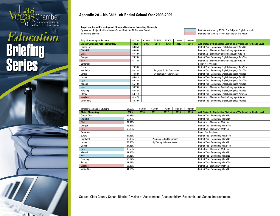# **Tas** Chamber<br>Pof Commerce

### Education **Briefing<br>Series**

 $\mathbf{1}$ 

-1119



**Target and Actual Percentages of Students Meeting or Exceeding Standards**

By Year and Subject for Each Nevada School District - All Students Tested Districts Not Meeting AYP in One Subject - English or Math Elementary Schools **Elementary Schools** Districts Not Meeting AYP in Both English and Math

| <b>Target Percentage of Students</b>      | 51.70% | 63.80% | 63.80% | 75.90%                     | 88.00% | 100.00% |                                                                   |
|-------------------------------------------|--------|--------|--------|----------------------------|--------|---------|-------------------------------------------------------------------|
| <b>English/Language Arts - Elementary</b> | 2009   | 2010   | 2011   | 2012                       | 2013   | 2014    | AYP Status By Subject for District as a Whole and for Grade Level |
| <b>Carson City</b>                        | 63.85% |        |        |                            |        |         | District Yes - Elementary English/Language Arts No                |
| Churchill                                 | 66.05% |        |        |                            |        |         | District No - Elementary English/Language Arts No                 |
| <b>Clark</b>                              | 57.19% |        |        |                            |        |         | District No - Elementary English/Language Arts No                 |
| Douglas                                   | 75.28% |        |        |                            |        |         | District Yes - Elementary English/Language Arts Yes               |
| <b>Elko</b>                               | 61.13% |        |        |                            |        |         | District No - Elementary English/Language Arts No                 |
| Esmeralda                                 |        |        |        |                            |        |         | <b>Report Not Available</b>                                       |
| Eureka                                    | 76.56% |        |        |                            |        |         | District Yes - Elementary English/Language Arts Yes               |
| Humboldt                                  | 63.13% |        |        | Progress To Be Determined  |        |         | District Yes - Elementary English/Language Arts Yes               |
| Lander                                    | 74.53% |        |        | By Testing in Future Years |        |         | District Yes - Elementary English/Language Arts No                |
| Lincoln                                   | 65.01% |        |        |                            |        |         | District Yes - Elementary English/Language Arts No                |
| Lyon                                      | 65.18% |        |        |                            |        |         | District Yes - Elementary English/Language Arts Yes               |
| Mineral                                   | 55.13% |        |        |                            |        |         | District Yes - Elementary English/Language Arts No                |
| Nye                                       | 56.79% |        |        |                            |        |         | District No - Elementary English/Language Arts No                 |
| Pershing                                  | 53.42% |        |        |                            |        |         | District Yes - Elementary English/Language Arts No                |
| Storey                                    | 58.71% |        |        |                            |        |         | District Yes - Elementary English/Language Arts Yes               |
| Washoe                                    | 61.42% |        |        |                            |        |         | District No - Elementary English/Language Arts No                 |
| <b>White Pine</b>                         | 45.39% |        |        |                            |        |         | District Yes - Elementary English/Language Arts No                |

| <b>Target Percentage of Students</b> | 54.60% | 65.90% | 65.90% | 77.20%                     | 88.50% | 100.00% |                                                                   |
|--------------------------------------|--------|--------|--------|----------------------------|--------|---------|-------------------------------------------------------------------|
| <b>Math - Elementary</b>             | 2009   | 2010   | 2011   | 2012                       | 2013   | 2014    | AYP Status By Subject for District as a Whole and for Grade Level |
| <b>Carson City</b>                   | 66.92% |        |        |                            |        |         | District Yes - Elementary Math No                                 |
| <b>Churchill</b>                     | 68.23% |        |        |                            |        |         | District Yes - Elementary Math No                                 |
| <b>Clark</b>                         | 62.99% |        |        |                            |        |         | District No - Elementary Math No                                  |
| Douglas                              | 72.54% |        |        |                            |        |         | District Yes - Elementary Math Yes                                |
| <b>Elko</b>                          | 60.19% |        |        |                            |        |         | District No - Elementary Math No                                  |
| Esmeralda                            | ۰      |        |        |                            |        |         | <b>Report Not Available</b>                                       |
| Eureka                               | 84.38% |        |        |                            |        |         | District Yes - Elementary Math Yes                                |
| Humboldt                             | 69.00% |        |        | Progress To Be Determined  |        |         | District Yes - Elementary Math No                                 |
| Lander                               | 73.56% |        |        | By Testing in Future Years |        |         | District Yes - Elementary Math No                                 |
| Lincoln                              | 67.33% |        |        |                            |        |         | District Yes - Elementary Math Yes                                |
| Lyon                                 | 65.53% |        |        |                            |        |         | District No - Elementary Math No                                  |
| <b>Mineral</b>                       | 51.36% |        |        |                            |        |         | District Yes - Elementary Math No                                 |
| Nye                                  | 57.36% |        |        |                            |        |         | District Yes - Elementary Math No                                 |
| Pershing                             | 58.17% |        |        |                            |        |         | District Yes - Elementary Math No                                 |
| Storey                               | 72.73% |        |        |                            |        |         | District Yes - Elementary Math Yes                                |
| <b>Washoe</b>                        | 65.93% |        |        |                            |        |         | District No - Elementary Math No                                  |
| <b>White Pine</b>                    | 44.15% |        |        |                            |        |         | District Yes - Elementary Math No                                 |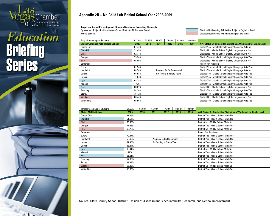# **TAS** Chamber<br>Of Commerce

### Education **Briefing<br>Series**

 $\mathbf{1}$ 

-1119

**Appendix 2B – No Child Left Behind School Year 2008-2009**

**Target and Actual Percentages of Students Meeting or Exceeding Standards**

By Year and Subject for Each Nevada School District - All Students Tested Districts Not Meeting AYP in One Subject - English or Math Middle Schools **Districts Not Meeting AYP in Both English and Math** Districts Not Meeting AYP in Both English and Math

| <b>Target Percentage of Students</b>        | 51.70% | 63.80% | 63.80% | 75.90%                     | 88.00% | 100.00% |                                                                   |
|---------------------------------------------|--------|--------|--------|----------------------------|--------|---------|-------------------------------------------------------------------|
| <b>English/Language Arts- Middle School</b> | 2009   | 2010   | 2011   | 2012                       | 2013   | 2014    | AYP Status By Subject for District as a Whole and for Grade Level |
| <b>Carson City</b>                          | 67.44% |        |        |                            |        |         | District Yes - Middle School English/Language Arts No             |
| Churchill                                   | 71.45% |        |        |                            |        |         | District No - Middle School English/Language Arts No              |
| Clark                                       | 62.71% |        |        |                            |        |         | District No - Middle School English/Language Arts No              |
| Douglas                                     | 79.94% |        |        |                            |        |         | District Yes - Middle School English/Language Arts Yes            |
| <b>Elko</b>                                 | 65.00% |        |        |                            |        |         | District No - Middle School English/ Language Arts No             |
| Esmeralda                                   |        |        |        |                            |        |         | <b>Report Not Available</b>                                       |
| Eureka                                      | 61.54% |        |        |                            |        |         | District Yes - Middle School English/Language Arts Yes            |
| Humboldt                                    | 64.54% |        |        | Progress To Be Determined  |        |         | District Yes - Middle School English/Language Arts No             |
| Lander                                      | 65.54% |        |        | By Testing in Future Years |        |         | District Yes - Middle School English/Language Arts Yes            |
| Lincoln                                     | 71.64% |        |        |                            |        |         | District Yes - Middle School English/Language Arts Yes            |
| Lyon                                        | 68.78% |        |        |                            |        |         | District Yes - Middle School English/Language Arts No             |
| <b>Mineral</b>                              | N/A    |        |        |                            |        |         | District Yes - Middle School English/Language Arts Yes            |
| Nye                                         | 68.01% |        |        |                            |        |         | District No - Middle School English/Language Arts No              |
| Pershing                                    | 54.36% |        |        |                            |        |         | District Yes - Middle School English/Language Arts Yes            |
| Storey                                      | 75.12% |        |        |                            |        |         | District Yes - Middle School English/ Language Arts Yes           |
| <b>Washoe</b>                               | 66.44% |        |        |                            |        |         | District No - Middle School English/Language Arts No              |
| <b>White Pine</b>                           | 65.56% |        |        |                            |        |         | District Yes - Middle School English/Language Arts Yes            |

| <b>Target Percentage of Students</b> | 54.60% | 65.90% | 65.90% | 77.20%                     | 88.50% | 100.00% |                                                                   |
|--------------------------------------|--------|--------|--------|----------------------------|--------|---------|-------------------------------------------------------------------|
| <b>Math - Middle School</b>          | 2009   | 2010   | 2011   | 2012                       | 2013   | 2014    | AYP Status By Subject for District as a Whole and for Grade Level |
| <b>Carson City</b>                   | 63.29% |        |        |                            |        |         | District Yes - Middle School Math No                              |
| Churchill                            | 61.54% |        |        |                            |        |         | District Yes - Middle School Math No                              |
| <b>Clark</b>                         | 60.98% |        |        |                            |        |         | District No - Middle School Math No                               |
| Douglas                              | 77.35% |        |        |                            |        |         | District Yes - Middle School Math Yes                             |
| <b>Elko</b>                          | 62.72% |        |        |                            |        |         | District No - Middle School Math No                               |
| Esmeralda                            |        |        |        |                            |        |         | <b>Report Not Available</b>                                       |
| Eureka                               | 70.97% |        |        |                            |        |         | District Yes - Middle School Math Yes                             |
| Humboldt                             | 58.62% |        |        | Progress To Be Determined  |        |         | District Yes - Middle School Math No                              |
| Lander                               | 57.96% |        |        | By Testing in Future Years |        |         | District Yes - Middle School Math Yes                             |
| Lincoln                              | 68.94% |        |        |                            |        |         | District Yes - Middle School Math Yes                             |
| Lyon                                 | 63.41% |        |        |                            |        |         | District No - Middle School Math No                               |
| <b>Mineral</b>                       | N/A    |        |        |                            |        |         | District Yes - Middle School Math Yes                             |
| Nye                                  | 65.01% |        |        |                            |        |         | District Yes - Middle School Math Yes                             |
| Pershing                             | 57.68% |        |        |                            |        |         | District Yes - Middle School Math Yes                             |
| Storey                               | 68.69% |        |        |                            |        |         | District Yes - Middle School Math Yes                             |
| Washoe                               | 65.86% |        |        |                            |        |         | District No - Middle School Math No                               |
| <b>White Pine</b>                    | 56.05% |        |        |                            |        |         | District Yes - Middle School Math Yes                             |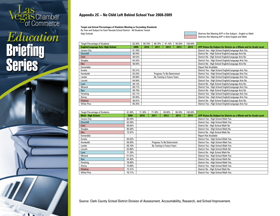## **as** Chamber<br>
of Commerce

### Education **Briefing<br>Series**



### **Appendix 2C – No Child Left Behind School Year 2008-2009**

**Target and Actual Percentages of Students Meeting or Exceeding Standards**

By Year and Subject for Each Nevada School District - All Students Tested

High Schools **Districts Not Meeting AYP in One Subject** - English or Math Districts Not Meeting AYP in Both English and Math

| <b>Target Percentage of Students</b>      | 82.30% | 86.70% | 86.70% | 91.10%                     | 95.50% | 100.00% |                                                                   |
|-------------------------------------------|--------|--------|--------|----------------------------|--------|---------|-------------------------------------------------------------------|
| <b>English/Language Arts- High School</b> | 2009   | 2010   | 2011   | 2012                       | 2013   | 2014    | AYP Status By Subject for District as a Whole and for Grade Level |
| <b>Carson City</b>                        | 91.76% |        |        |                            |        |         | District Yes - High School English/Language Arts Yes              |
| <b>Churchill</b>                          | 90.94% |        |        |                            |        |         | District No - High School English/Language Arts No                |
| <b>Clark</b>                              | 89.52% |        |        |                            |        |         | District No - High School English/Language Arts No                |
| Douglas                                   | 94.32% |        |        |                            |        |         | District Yes - High School English/Language Arts Yes              |
| <b>Elko</b>                               | 90.94% |        |        |                            |        |         | District No - High School English/Language Arts No                |
| Esmeralda                                 | ٠      |        |        |                            |        |         | <b>Report Not Available</b>                                       |
| Eureka                                    | 92.31% |        |        |                            |        |         | District Yes - High School English/Language Arts Yes              |
| Humboldt                                  | 92.25% |        |        | Progress To Be Determined  |        |         | District Yes - High School English/Language Arts Yes              |
| Lander                                    | 89.90% |        |        | By Testing in Future Years |        |         | District Yes - High School English/Language Arts Yes              |
| Lincoln                                   | 84.94% |        |        |                            |        |         | District Yes - High School English/Language Arts No               |
| Lyon                                      | 89.12% |        |        |                            |        |         | District No - High School English/Language Arts No                |
| Mineral                                   | 88.71% |        |        |                            |        |         | District Yes - High School English/Language Arts Yes              |
| Nye                                       | 89.79% |        |        |                            |        |         | District No - High School English/Language Arts No                |
| Pershing                                  | 92.11% |        |        |                            |        |         | District Yes - High School English/Language Arts Yes              |
| Storey                                    | 95.95% |        |        |                            |        |         | District Yes - High School English/Language Arts Yes              |
| Washoe                                    | 90.97% |        |        |                            |        |         | District No - High School English/Language Arts No                |
| <b>White Pine</b>                         | 85.35% |        |        |                            |        |         | District Yes - High School English/Language Arts Yes              |

| <b>Target Percentage of Students</b> | 61.80% | 71.30% | 71.30% | 80.80%                     | 90.30% | 100.00% |                                                                   |
|--------------------------------------|--------|--------|--------|----------------------------|--------|---------|-------------------------------------------------------------------|
| <b>Math - High School</b>            | 2009   | 2010   | 2011   | 2012                       | 2013   | 2014    | AYP Status By Subject for District as a Whole and for Grade Level |
| <b>Carson City</b>                   | 80.49% |        |        |                            |        |         | District Yes - High School Math Yes                               |
| Churchill                            | 82.58% |        |        |                            |        |         | District Yes - High School Math Yes                               |
| Clark                                | 69.64% |        |        |                            |        |         | District No - High School Math No                                 |
| Douglas                              | 80.28% |        |        |                            |        |         | District Yes - High School Math No                                |
| <b>Elko</b>                          | 72.97% |        |        |                            |        |         | District No - High School Math No                                 |
| Esmeralda                            |        |        |        |                            |        |         | <b>Report Not Available</b>                                       |
| Eureka                               | 84.62% |        |        |                            |        |         | District Yes - High School Math Yes                               |
| Humboldt                             | 69.50% |        |        | Progress To Be Determined  |        |         | District Yes - High School Math Yes                               |
| Lander                               | 69.70% |        |        | By Testing in Future Years |        |         | District Yes - High School Math Yes                               |
| Lincoln                              | 63.86% |        |        |                            |        |         | District Yes - High School Math No                                |
| Lyon                                 | 71.29% |        |        |                            |        |         | District No - High School Math No                                 |
| <b>Mineral</b>                       | 51.61% |        |        |                            |        |         | District Yes - High School Math Yes                               |
| Nye                                  | 64.40% |        |        |                            |        |         | District Yes - High School Math No                                |
| Pershing                             | 78.95% |        |        |                            |        |         | District Yes - High School Math Yes                               |
| Storey                               | 75.68% |        |        |                            |        |         | District Yes - High School Math Yes                               |
| Washoe                               | 75.47% |        |        |                            |        |         | District No - High School Math No                                 |
| <b>White Pine</b>                    | 70.71% |        |        |                            |        |         | District Yes - High School Math Yes                               |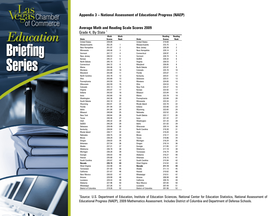

### Education **Briefing<br>Series**

 $\mathbf{1}$ 



#### **Average Math and Reading Scale Scores 2009** Grade 4, By State<sup>1</sup>

|                       | Math          | Math           |                       | Reading       | Reading        |
|-----------------------|---------------|----------------|-----------------------|---------------|----------------|
| State                 | <b>Scores</b> | <b>Rank</b>    | <b>State</b>          | <b>Scores</b> | Rank           |
| <b>United States</b>  | 239.09        |                | <b>United States</b>  | 219.60        |                |
| <b>Massachusetts</b>  | 252.25        | 1              | <b>Massachusetts</b>  | 233.75        | 1              |
| New Hampshire         | 251.07        | $\overline{c}$ | New Jersey            | 229.39        | $\overline{2}$ |
| Minnesota             | 249.46        | 3              | New Hampshire         | 229.14        | 3              |
| Vermont               | 247.77        | 4              | Connecticut           | 228.97        | 4              |
| New Jersey            | 246.53        | 5              | Vermont               | 228.74        | 5              |
| Kansas                | 245.31        | 6              | <b>DoDEA</b>          | 228.32        | 6              |
| North Dakota          | 245.19        | $\overline{1}$ | Virginia              | 226.53        | $\overline{1}$ |
| Connecticut           | 244.72        | 8              | Maryland              | 226.05        | 8              |
| Maine                 | 244.46        | 9              | North Dakota          | 225.97        | 9              |
| Montana               | 244.40        | 10             | Colorado              | 225.70        | 10             |
| Maryland              | 243.80        | 11             | Florida               | 225.67        | 11             |
| <b>North Carolina</b> | 243.78        | 12             | Kentucky              | 225.61        | 12             |
| Ohio                  | 243.69        | 13             | Delaware              | 225.51        | 13             |
| Pennsylvania          | 243.59        | 14             | Montana               | 224.65        | 14             |
| Wisconsin             | 243.59        | 15             | <b>Ohio</b>           | 224.53        | 15             |
| Colorado              | 243.13        | 16             | New York              | 224.37        | 16             |
| Virginia              | 243.07        | 17             | Kansas                | 223.92        | 17             |
| Indiana               | 242.62        | 18             | Missouri              | 223.84        | 18             |
| lowa                  | 242.60        | 19             | Maine                 | 223.79        | 19             |
| Washington            | 242.26        | 20             | Pennsylvania          | 223.68        | 20             |
| South Dakota          | 242.10        | 21             | Minnesota             | 223.34        | 21             |
| Wyoming               | 242.01        | 22             | Rhode Island          | 222.70        | 22             |
| Florida               | 241.94        | 23             | Indiana               | 222.66        | 23             |
| Idaho                 | 241.04        | 24             | Wyoming               | 222.65        | 24             |
| Missouri              | 240.68        | 25             | Nebraska              | 222.52        | 25             |
| New York              | 240.64        | 26             | South Dakota          | 222.17        | 26             |
| Texas                 | 240.46        | 27             | lowa                  | 221.42        | 27             |
| Utah                  | 240.32        | 28             | Washington            | 221.33        | 28             |
| <b>DoDEA</b>          | 240.29        | 29             | Idaho                 | 221.02        | 29             |
| Delaware              | 239.49        | 30             | Wisconsin             | 220.14        | 30             |
| Kentucky              | 238.84        | 31             | <b>North Carolina</b> | 219.30        | 31             |
| Rhode Island          | 238.77        | 32             | Utah                  | 219.20        | 32             |
| Nebraska              | 238.75        | 33             | <b>Illinois</b>       | 219.17        | 33             |
| <b>Illinois</b>       | 238.29        | 34             | Texas                 | 218.86        | 34             |
| Oregon                | 238.03        | 35             | Michigan              | 218.24        | 35             |
| Arkansas              | 237.54        | 36             | Oregon                | 218.14        | 36             |
| Alaska                | 237.21        | 37             | Georgia               | 217.85        | 37             |
| <b>Oklahoma</b>       | 236.78        | 38             | <b>Oklahoma</b>       | 217.19        | 38             |
| Michigan              | 236.28        | 39             | Tennessee             | 216.74        | 39             |
| Georgia               | 236.03        | 40             | Alabama               | 216.27        | 40             |
| Hawaii                | 235.68        | 41             | <b>Arkansas</b>       | 216.15        | 41             |
| South Carolina        | 235.67        | 42             | South Carolina        | 215.94        | 42             |
| Nevada                | 235.15        | 43             | <b>West Virginia</b>  | 214.52        | 43             |
| <b>West Virginia</b>  | 232.98        | 44             | Nevada                | 211.14        | 44             |
| Tennessee             | 231.83        | 45             | Alaska                | 211.13        | 45             |
| Califomia             | 231.67        | 46             | Hawaii                | 210.62        | 46             |
| New Mexico            | 230.03        | 47             | Mississippi           | 210.51        | 47             |
| Arizona               | 229.99        | 48             | Arizona               | 209.99        | 48             |
| Louisiana             | 229.43        | 49             | California            | 209.76        | 49             |
| Alabama               | 227.96        | 50             | New Mexico            | 207.65        | 50             |
| Mississippi           | 227.26        | 51             | Louisiana             | 207.49        | 51             |
| District of Columbia  | 219.26        | 52             | District of Columbia  | 201.98        | 52             |

<sup>1</sup>Source: U.S. Department of Education, Institute of Education Sciences, National Center for Education Statistics, National Assessment of Educational Progress (NAEP), 2009 Mathematics Assessment. Includes District of Columbia and Department of Defense Schools.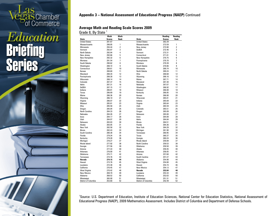### **as Chamber**<br>of Commerce

### Education **Briefing<br>Series**

 $\mathbf{1}$ 



#### **Average Math and Reading Scale Scores 2009**

| Grade 8, By State <sup>1</sup> |
|--------------------------------|
|--------------------------------|

|                      | Math          | Math           |                      | Reading       | Reading        |  |
|----------------------|---------------|----------------|----------------------|---------------|----------------|--|
| <b>State</b>         | <b>Scores</b> | <b>Rank</b>    | <b>State</b>         | <b>Scores</b> | Rank           |  |
| <b>United States</b> | 281.67        |                | <b>United States</b> | 262.29        |                |  |
| <b>Massachusetts</b> | 298.85        | 1              | <b>Massachusetts</b> | 273.59        | 1              |  |
| Minnesota            | 294.44        | $\overline{c}$ | New Jersey           | 272.80        | $\overline{2}$ |  |
| Vermont              | 292.87        | 3              | <b>DoDEA</b>         | 272.46        | 3              |  |
| North Dakota         | 292.84        | 4              | Vermont              | 272.31        | 4              |  |
| New Jersey           | 292.66        | 5              | Connecticut          | 271.81        | 5              |  |
| New Hampshire        | 292.32        | 6              | New Hampshire        | 270.75        | 6              |  |
| Montana              | 291.54        | $\overline{1}$ | Pennsylvania         | 270.70        | $\overline{1}$ |  |
| South Dakota         | 290.62        | 8              | Montana              | 270.39        | 8              |  |
| Washington           | 288.72        | 9              | South Dakota         | 270.06        | 9              |  |
| Connecticut          | 288.61        | 10             | Minnesota            | 269.74        | 10             |  |
| Kansas               | 288.60        | 11             | North Dakota         | 269.24        | 11             |  |
| Maryland             | 288.34        | 12             | Ohio                 | 268.68        | 12             |  |
| Pennsylvania         | 288.30        | 13             | Wyoming              | 268.16        | 13             |  |
| Wisconsin            | 288.14        | 14             | Maine                | 267.71        | 14             |  |
| Colorado             | 287.37        | 15             | Maryland             | 267.30        | 15             |  |
| Idaho                | 287.31        | 16             | Nebraska             | 267.07        | 16             |  |
| <b>DoDEA</b>         | 287.15        | 17             | Washington           | 266.92        | 17             |  |
| Indiana              | 286.81        | 18             | Missouri             | 266.88        | 18             |  |
| Texas                | 286.69        | 19             | Kentucky             | 266.85        | 19             |  |
| Maine                | 286.36        | 20             | Kansas               | 266.80        | 20             |  |
| Wyoming              | 286.10        | 21             | Wisconsin            | 265.81        | 21             |  |
| Virginia             | 286.07        | 22             | Indiana              | 265.69        | 22             |  |
| Missouri             | 285.81        | 23             | Virginia             | 265.64        | 23             |  |
| <b>Ohio</b>          | 285.58        | 24             | Utah                 | 265.59        | 24             |  |
|                      | 285.04        | 25             | Colorado             |               | 25             |  |
| Oregon               |               |                |                      | 265.51        |                |  |
| North Carolina       | 284.33        | 26             | Oregon               | 265.09        | 26             |  |
| Nebraska             | 284.26        | 27             | Delaware             | 265.00        | 27             |  |
| lowa                 | 284.17        | 28             | lowa                 | 264.89        | 28             |  |
| Utah                 | 284.07        | 29             | Idaho                | 264.84        | 29             |  |
| Delaware             | 283.83        | 30             | Illinois             | 264.51        | 30             |  |
| Alaska               | 283.05        | 31             | Florida              | 264.36        | 31             |  |
| New York             | 282.58        | 32             | New York             | 264.29        | 32             |  |
| <b>Illinois</b>      | 282.43        | 33             | Michigan             | 261.90        | 33             |  |
| South Carolina       | 280.38        | 34             | Tennessee            | 260.95        | 34             |  |
| Florida              | 279.34        | 35             | Texas                | 260.37        | 35             |  |
| Kentucky             | 279.28        | 36             | Georgia              | 260.24        | 36             |  |
| Michigan             | 278.27        | 37             | Rhode Island         | 259.89        | 37             |  |
| Rhode Island         | 277.92        | 38             | North Carolina       | 259.53        | 38             |  |
| Georgia              | 277.56        | 39             | <b>Oklahoma</b>      | 259.50        | 39             |  |
| Arizona              | 277.33        | 40             | Alaska               | 259.45        | 40             |  |
| Arkansas             | 276.00        | 41             | <b>Arkansas</b>      | 258.05        | 41             |  |
| Oklahoma             | 275.71        | 42             | Arizona              | 257.60        | 42             |  |
| Tennessee            | 274.76        | 43             | South Carolina       | 257.27        | 43             |  |
| Nevada               | 274.15        | 44             | Alabama              | 254.90        | 44             |  |
| Hawaii               | 273.76        | 45             | West Virginia        | 254.80        | 45             |  |
| Louisiana            | 272.38        | 46             | Hawaii               | 254.74        | 46             |  |
| California           | 270.45        | 47             | New Mexico           | 254.13        | 47             |  |
| <b>West Virginia</b> | 270.42        | 48             | Nevada               | 253.84        | 48             |  |
| New Mexico           | 269.70        | 49             | Louisiana            | 253.33        | 49             |  |
| Alabama              | 268.52        | 50             | California           | 252.63        | 50             |  |
| Mississippi          | 265.00        | 51             | Mississippi          | 251.31        | 51             |  |
| District of Columbia | 253.60        | 52             | District of Columbia | 242.49        | 52             |  |

<sup>1</sup>Source: U.S. Department of Education, Institute of Education Sciences, National Center for Education Statistics, National Assessment of Educational Progress (NAEP), 2009 Mathematics Assessment. Includes District of Columbia and Department of Defense Schools.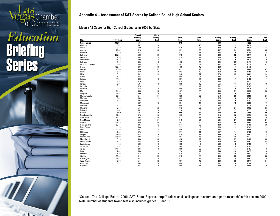### **as Chamber**<br>of Commerce

### Education **Briefing<br>Series**

 $\mathbf{1}$ 



Mean SAT Score for High School Graduates in 2009 by State<sup>1</sup>

|                             |                    | <b>Critical</b> | Critical       |       |                |                |                |              |                |
|-----------------------------|--------------------|-----------------|----------------|-------|----------------|----------------|----------------|--------------|----------------|
|                             |                    | Reading         | Reading        | Math  | <b>Math</b>    | <b>Writing</b> | <b>Writing</b> | <b>Total</b> | <b>Total</b>   |
| <b>State</b>                | <b>Test Takers</b> | <b>Score</b>    | Rank           | Score | Rank           | <b>Score</b>   | Rank           | <b>Score</b> | Rank           |
| <b>United States</b>        | 1,443,974          | 501             | ٠              | 515   |                | 493            | ٠.             | 1,509        |                |
| Alabama                     | 3,473              | 557             | 20             | 552   | 20             | 549            | 19             | 1,658        | 19             |
| Alaska                      | 3,589              | 520             | 28             | 516   | 31             | 492            | 38             | 1,528        | 32             |
| Arizona                     | 21,007             | 516             | 30             | 521   | 29             | 497            | 34             | 1,534        | 30             |
| Arkansas                    | 1,460              | 572             | 13             | 572   | 13             | 556            | 15             | 1,700        | 14             |
| California                  | 207,301            | 500             | 36             | 513   | 32             | 498            | 32             | 1,511        | 34             |
| Colorado                    | 9,986              | 568             | 15             | 575   | 11             | 555            | 16             | 1,698        | 15             |
| Connecticut                 | 35,799             | 509             | 34             | 513   | 32             | 512            | 25             | 1,534        | 30             |
| Delaware                    | 6,707              | 495             | 42             | 498   | 45             | 484            | 39             | 1,477        | 42             |
| <b>District of Columbia</b> | 4,029              | 466             | 51             | 451   | 51             | 461            | 50             | 1,378        | 51             |
| Florida                     | 100,179            | 497             | 39             | 498   | 45             | 480            | 41             | 1,475        | 44             |
| Georgia                     | 63,440             | 490             | 45             | 491   | 49             | 479            | 44             | 1,460        | 47             |
| Hawaii                      | 8,313              | 479             | 49             | 502   | 40             | 469            | 49             | 1,450        | 49             |
| Idaho                       | 3,165              | 541             | 22             | 540   | 24             | 520            | 23             | 1,601        | 24             |
| Illinois                    | 8.857              | 588             | $\overline{7}$ | 604   | $\overline{4}$ | 583            | 3              | 1,775        | 5              |
| Indiana                     | 44,511             | 496             | 40             | 507   | 37             | 480            | 41             | 1,483        | 41             |
| lowa                        | 1,105              | 610             | $\overline{1}$ | 615   | $\overline{1}$ | 588            | $\overline{1}$ | 1,813        | $\overline{1}$ |
| Kansas                      | 2,067              | 581             | 10             | 589   | 10             | 564            | 11             | 1,734        | 10             |
| Kentucky                    | 3,115              | 573             | 12             | 573   | 12             | 561            | 12             | 1,707        | 11             |
| Louisiana                   | 2,556              | 563             | 18             | 558   | 17             | 555            | 16             | 1,676        | 18             |
| Maine                       | 14,954             | 468             | 50             | 467   | 50             | 455            | 51             | 1,390        | $50\,$         |
| Maryland                    | 46,562             | 500             | 36             | 502   | 40             | 495            | 36             | 1.497        | 37             |
| Massachusetts               | 60,591             | 514             | 31             | 526   | 26             | 510            | 26             | 1,550        | 27             |
| Michigan                    | 6,055              | 584             | 9              | 603   | 5              | 575            | 6              | 1,762        | 6              |
| Minnesota                   | 4,685              | 595             | $\overline{2}$ | 609   | $\overline{2}$ | 578            | 5              | 1,782        | 3              |
| Mississippi                 | 996                | 567             | 16             | 554   | 19             | 559            | 13             | 1,680        | 17             |
| Missouri                    | 3,153              | 595             | $\overline{2}$ | 600   | $6\phantom{1}$ | 584            | $\overline{2}$ | 1,779        | 4              |
| Montana                     | 2,456              | 541             | 22             | 542   | 23             | 519            | 24             | 1,602        | 23             |
| Nebraska                    | 1,002              | 587             | 8              | 594   | 8              | 572            | $\overline{7}$ | 1,753        | 8              |
| Nevada                      | 8,919              | 501             | 35             | 505   | 39             | 479            | 44             | 1.485        | 40             |
| New Hampshire               | 12,351             | 523             | 26             | 523   | 28             | 510            | 26             | 1,556        | 26             |
| New Jersey                  | 84,417             | 496             | 40             | 513   | 32             | 496            | 35             | 1,505        | 36             |
| <b>New Mexico</b>           | 2,209              | 553             | 21             | 546   | 21             | 534            | 21             | 1,633        | 21             |
| New York                    | 159,886            | 485             | 48             | 502   | 40             | 478            | 46             | 1,465        | 46             |
| <b>North Carolina</b>       | 57,147             | 495             | 42             | 511   | 36             | 480            | 41             | 1,486        | 39             |
| North Dakota                | 238                | 590             | 5              | 593   | 9              | 566            | 9              | 1,749        | 9              |
| Ohio                        | 30,706             | 537             | 24             | 546   | 21             | 523            | 22             | 1,606        | 22             |
| Oklahoma                    | 2,002              | 575             | 11             | 571   | 14             | 557            | 14             | 1,703        | 12             |
| Oregon                      | 18,016             | 523             | 26             | 525   | 27             | 499            | 30             | 1,547        | 28             |
| Pennsylvania                | 105,066            | 493             | 44             | 501   | 43             | 483            | 40             | 1,477        | 42             |
| Rhode Island                | 8,293              | 498             | 38             | 496   | 47             | 494            | 37             | 1,488        | 38             |
| South Carolina              | 25,217             | 486             | 46             | 496   | 47             | 470            | 48             | 1,452        | 48             |
| South Dakota                | 283                | 589             | 6              | 600   | 6              | 569            | 8              | 1,758        | $\overline{1}$ |
| Tennessee                   | 5,911              | 571             | 14             | 565   | 16             | 565            | 10             | 1,701        | 13             |
| Texas                       | 141,733            | 486             | 46             | 506   | 38             | 475            | 47             | 1,467        | 45             |
| Utah                        | 2,023              | 559             | 19             | 558   | 17             | 540            | 20             | 1,657        | 20             |
| Vermont                     | 5,306              | 518             | 29             | 518   | 30             | 506            | 29             | 1,542        | 29             |
| Virginia                    | 59,612             | 511             | 32             | 512   | 35             | 498            | 32             | 1,521        | 33             |
| Washington                  | 36,687             | 524             | 25             | 531   | 25             | 507            | 28             | 1,562        | 25             |
| West Virginia               | 3,373              | 511             | 32             | 501   | 43             | 499            | 30             | 1,511        | 34             |
| Wisconsin                   | 3,192              | 594             | $\overline{4}$ | 608   | 3              | 582            | $\overline{4}$ | 1,784        | $\overline{2}$ |
| Wyoming                     | 274                | 567             | 16             | 568   | 15             | 550            | 18             | 1.685        | 16             |

1 Source: The College Board, 2009 SAT State Reports, http://professionals.collegeboard.com/data-reports-research/sat/cb-seniors-2009. Note: number of students taking test also includes grades 10 and 11.